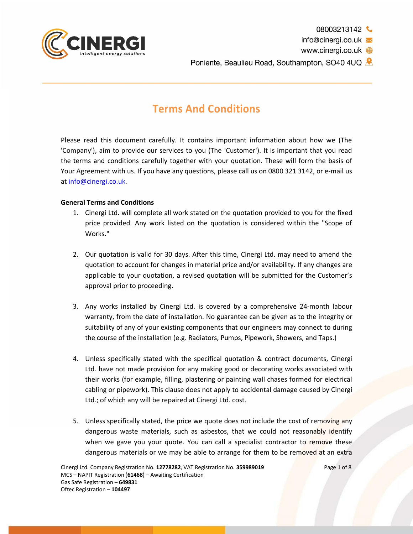

info@cinergi.co.uk

www.cinergi.co.uk **●** 

Poniente, Beaulieu Road, Southampton, SO40 4UQ &

# **Terms And Conditions**

Please read this document carefully. It contains important information about how we (The 'Company'), aim to provide our services to you (The 'Customer'). It is important that you read the terms and conditions carefully together with your quotation. These will form the basis of Your Agreement with us. If you have any questions, please call us on 0800 321 3142, or e-mail us at info@cinergi.co.uk.

# **General Terms and Conditions**

- 1. Cinergi Ltd. will complete all work stated on the quotation provided to you for the fixed price provided. Any work listed on the quotation is considered within the "Scope of Works."
- 2. Our quotation is valid for 30 days. After this time, Cinergi Ltd. may need to amend the quotation to account for changes in material price and/or availability. If any changes are applicable to your quotation, a revised quotation will be submitted for the Customer's approval prior to proceeding.
- 3. Any works installed by Cinergi Ltd. is covered by a comprehensive 24-month labour warranty, from the date of installation. No guarantee can be given as to the integrity or suitability of any of your existing components that our engineers may connect to during the course of the installation (e.g. Radiators, Pumps, Pipework, Showers, and Taps.)
- 4. Unless specifically stated with the specifical quotation & contract documents, Cinergi Ltd. have not made provision for any making good or decorating works associated with their works (for example, filling, plastering or painting wall chases formed for electrical cabling or pipework). This clause does not apply to accidental damage caused by Cinergi Ltd.; of which any will be repaired at Cinergi Ltd. cost.
- 5. Unless specifically stated, the price we quote does not include the cost of removing any dangerous waste materials, such as asbestos, that we could not reasonably identify when we gave you your quote. You can call a specialist contractor to remove these dangerous materials or we may be able to arrange for them to be removed at an extra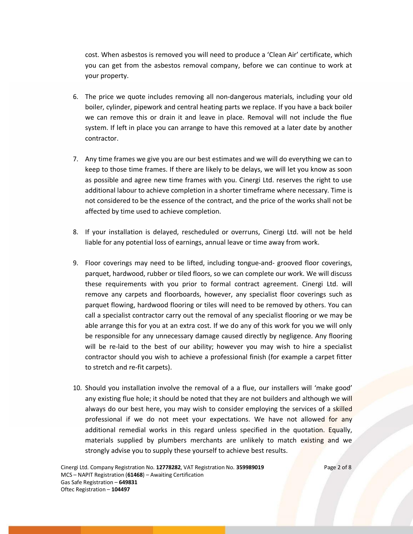cost. When asbestos is removed you will need to produce a 'Clean Air' certificate, which you can get from the asbestos removal company, before we can continue to work at your property.

- 6. The price we quote includes removing all non-dangerous materials, including your old boiler, cylinder, pipework and central heating parts we replace. If you have a back boiler we can remove this or drain it and leave in place. Removal will not include the flue system. If left in place you can arrange to have this removed at a later date by another contractor.
- 7. Any time frames we give you are our best estimates and we will do everything we can to keep to those time frames. If there are likely to be delays, we will let you know as soon as possible and agree new time frames with you. Cinergi Ltd. reserves the right to use additional labour to achieve completion in a shorter timeframe where necessary. Time is not considered to be the essence of the contract, and the price of the works shall not be affected by time used to achieve completion.
- 8. If your installation is delayed, rescheduled or overruns, Cinergi Ltd. will not be held liable for any potential loss of earnings, annual leave or time away from work.
- 9. Floor coverings may need to be lifted, including tongue-and- grooved floor coverings, parquet, hardwood, rubber or tiled floors, so we can complete our work. We will discuss these requirements with you prior to formal contract agreement. Cinergi Ltd. will remove any carpets and floorboards, however, any specialist floor coverings such as parquet flowing, hardwood flooring or tiles will need to be removed by others. You can call a specialist contractor carry out the removal of any specialist flooring or we may be able arrange this for you at an extra cost. If we do any of this work for you we will only be responsible for any unnecessary damage caused directly by negligence. Any flooring will be re-laid to the best of our ability; however you may wish to hire a specialist contractor should you wish to achieve a professional finish (for example a carpet fitter to stretch and re-fit carpets).
- 10. Should you installation involve the removal of a a flue, our installers will 'make good' any existing flue hole; it should be noted that they are not builders and although we will always do our best here, you may wish to consider employing the services of a skilled professional if we do not meet your expectations. We have not allowed for any additional remedial works in this regard unless specified in the quotation. Equally, materials supplied by plumbers merchants are unlikely to match existing and we strongly advise you to supply these yourself to achieve best results.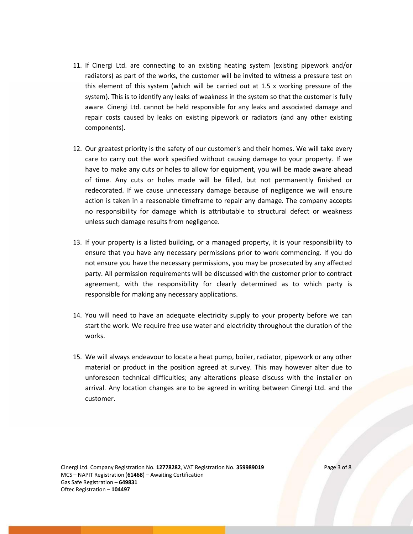- 11. If Cinergi Ltd. are connecting to an existing heating system (existing pipework and/or radiators) as part of the works, the customer will be invited to witness a pressure test on this element of this system (which will be carried out at 1.5 x working pressure of the system). This is to identify any leaks of weakness in the system so that the customer is fully aware. Cinergi Ltd. cannot be held responsible for any leaks and associated damage and repair costs caused by leaks on existing pipework or radiators (and any other existing components).
- 12. Our greatest priority is the safety of our customer's and their homes. We will take every care to carry out the work specified without causing damage to your property. If we have to make any cuts or holes to allow for equipment, you will be made aware ahead of time. Any cuts or holes made will be filled, but not permanently finished or redecorated. If we cause unnecessary damage because of negligence we will ensure action is taken in a reasonable timeframe to repair any damage. The company accepts no responsibility for damage which is attributable to structural defect or weakness unless such damage results from negligence.
- 13. If your property is a listed building, or a managed property, it is your responsibility to ensure that you have any necessary permissions prior to work commencing. If you do not ensure you have the necessary permissions, you may be prosecuted by any affected party. All permission requirements will be discussed with the customer prior to contract agreement, with the responsibility for clearly determined as to which party is responsible for making any necessary applications.
- 14. You will need to have an adequate electricity supply to your property before we can start the work. We require free use water and electricity throughout the duration of the works.
- 15. We will always endeavour to locate a heat pump, boiler, radiator, pipework or any other material or product in the position agreed at survey. This may however alter due to unforeseen technical difficulties; any alterations please discuss with the installer on arrival. Any location changes are to be agreed in writing between Cinergi Ltd. and the customer.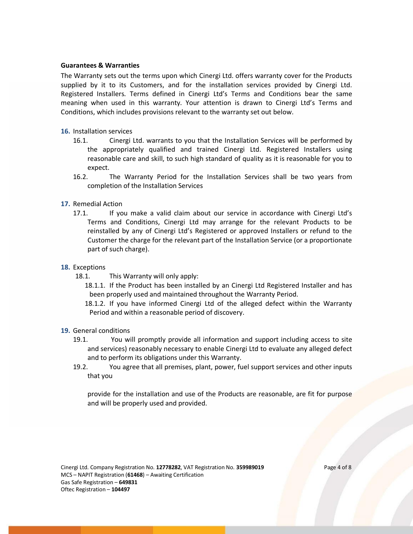## **Guarantees & Warranties**

The Warranty sets out the terms upon which Cinergi Ltd. offers warranty cover for the Products supplied by it to its Customers, and for the installation services provided by Cinergi Ltd. Registered Installers. Terms defined in Cinergi Ltd's Terms and Conditions bear the same meaning when used in this warranty. Your attention is drawn to Cinergi Ltd's Terms and Conditions, which includes provisions relevant to the warranty set out below.

## **16.** Installation services

- 16.1. Cinergi Ltd. warrants to you that the Installation Services will be performed by the appropriately qualified and trained Cinergi Ltd. Registered Installers using reasonable care and skill, to such high standard of quality as it is reasonable for you to expect.
- 16.2. The Warranty Period for the Installation Services shall be two years from completion of the Installation Services
- **17.** Remedial Action
	- 17.1. If you make a valid claim about our service in accordance with Cinergi Ltd's Terms and Conditions, Cinergi Ltd may arrange for the relevant Products to be reinstalled by any of Cinergi Ltd's Registered or approved Installers or refund to the Customer the charge for the relevant part of the Installation Service (or a proportionate part of such charge).
- **18.** Exceptions
	- 18.1. This Warranty will only apply:
		- 18.1.1. If the Product has been installed by an Cinergi Ltd Registered Installer and has been properly used and maintained throughout the Warranty Period.
		- 18.1.2. If you have informed Cinergi Ltd of the alleged defect within the Warranty Period and within a reasonable period of discovery.
- **19.** General conditions
	- 19.1. You will promptly provide all information and support including access to site and services) reasonably necessary to enable Cinergi Ltd to evaluate any alleged defect and to perform its obligations under this Warranty.
	- 19.2. You agree that all premises, plant, power, fuel support services and other inputs that you

provide for the installation and use of the Products are reasonable, are fit for purpose and will be properly used and provided.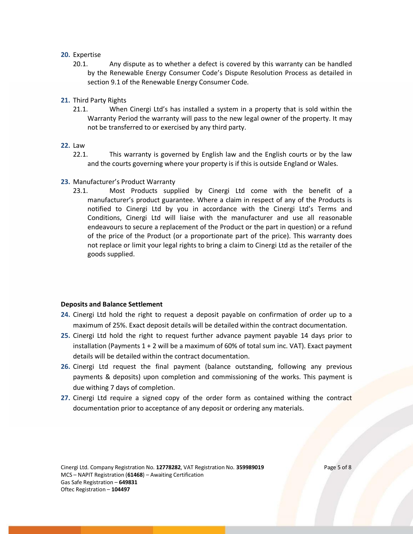## **20.** Expertise

- 20.1. Any dispute as to whether a defect is covered by this warranty can be handled by the Renewable Energy Consumer Code's Dispute Resolution Process as detailed in section 9.1 of the Renewable Energy Consumer Code.
- **21.** Third Party Rights
	- 21.1. When Cinergi Ltd's has installed a system in a property that is sold within the Warranty Period the warranty will pass to the new legal owner of the property. It may not be transferred to or exercised by any third party.
- **22.** Law
	- 22.1. This warranty is governed by English law and the English courts or by the law and the courts governing where your property is if this is outside England or Wales.
- **23.** Manufacturer's Product Warranty
	- 23.1. Most Products supplied by Cinergi Ltd come with the benefit of a manufacturer's product guarantee. Where a claim in respect of any of the Products is notified to Cinergi Ltd by you in accordance with the Cinergi Ltd's Terms and Conditions, Cinergi Ltd will liaise with the manufacturer and use all reasonable endeavours to secure a replacement of the Product or the part in question) or a refund of the price of the Product (or a proportionate part of the price). This warranty does not replace or limit your legal rights to bring a claim to Cinergi Ltd as the retailer of the goods supplied.

## **Deposits and Balance Settlement**

- **24.** Cinergi Ltd hold the right to request a deposit payable on confirmation of order up to a maximum of 25%. Exact deposit details will be detailed within the contract documentation.
- **25.** Cinergi Ltd hold the right to request further advance payment payable 14 days prior to installation (Payments 1 + 2 will be a maximum of 60% of total sum inc. VAT). Exact payment details will be detailed within the contract documentation.
- **26.** Cinergi Ltd request the final payment (balance outstanding, following any previous payments & deposits) upon completion and commissioning of the works. This payment is due withing 7 days of completion.
- **27.** Cinergi Ltd require a signed copy of the order form as contained withing the contract documentation prior to acceptance of any deposit or ordering any materials.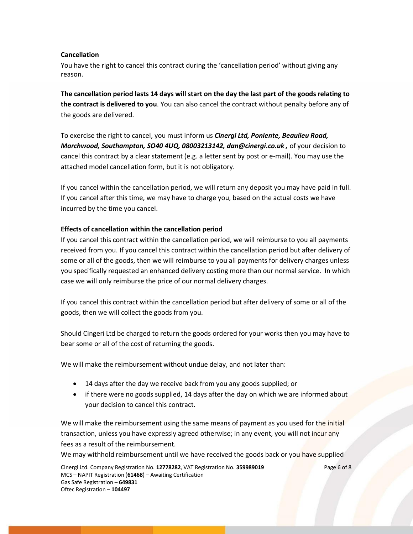# **Cancellation**

You have the right to cancel this contract during the 'cancellation period' without giving any reason.

**The cancellation period lasts 14 days will start on the day the last part of the goods relating to the contract is delivered to you**. You can also cancel the contract without penalty before any of the goods are delivered.

To exercise the right to cancel, you must inform us *Cinergi Ltd, Poniente, Beaulieu Road, Marchwood, Southampton, SO40 4UQ, 08003213142, dan@cinergi.co.uk ,* of your decision to cancel this contract by a clear statement (e.g. a letter sent by post or e-mail). You may use the attached model cancellation form, but it is not obligatory.

If you cancel within the cancellation period, we will return any deposit you may have paid in full. If you cancel after this time, we may have to charge you, based on the actual costs we have incurred by the time you cancel.

## **Effects of cancellation within the cancellation period**

If you cancel this contract within the cancellation period, we will reimburse to you all payments received from you. If you cancel this contract within the cancellation period but after delivery of some or all of the goods, then we will reimburse to you all payments for delivery charges unless you specifically requested an enhanced delivery costing more than our normal service. In which case we will only reimburse the price of our normal delivery charges.

If you cancel this contract within the cancellation period but after delivery of some or all of the goods, then we will collect the goods from you.

Should Cingeri Ltd be charged to return the goods ordered for your works then you may have to bear some or all of the cost of returning the goods.

We will make the reimbursement without undue delay, and not later than:

- 14 days after the day we receive back from you any goods supplied; or
- if there were no goods supplied, 14 days after the day on which we are informed about your decision to cancel this contract.

We will make the reimbursement using the same means of payment as you used for the initial transaction, unless you have expressly agreed otherwise; in any event, you will not incur any fees as a result of the reimbursement.

We may withhold reimbursement until we have received the goods back or you have supplied

Cinergi Ltd. Company Registration No. **12778282**, VAT Registration No. **359989019** Page 6 of 8 MCS – NAPIT Registration (**61468**) – Awaiting Certification Gas Safe Registration – **649831** Oftec Registration – **104497**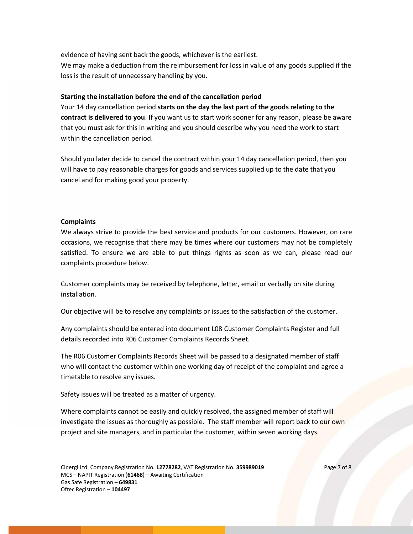evidence of having sent back the goods, whichever is the earliest. We may make a deduction from the reimbursement for loss in value of any goods supplied if the loss is the result of unnecessary handling by you.

#### **Starting the installation before the end of the cancellation period**

Your 14 day cancellation period **starts on the day the last part of the goods relating to the contract is delivered to you**. If you want us to start work sooner for any reason, please be aware that you must ask for this in writing and you should describe why you need the work to start within the cancellation period.

Should you later decide to cancel the contract within your 14 day cancellation period, then you will have to pay reasonable charges for goods and services supplied up to the date that you cancel and for making good your property.

#### **Complaints**

We always strive to provide the best service and products for our customers. However, on rare occasions, we recognise that there may be times where our customers may not be completely satisfied. To ensure we are able to put things rights as soon as we can, please read our complaints procedure below.

Customer complaints may be received by telephone, letter, email or verbally on site during installation.

Our objective will be to resolve any complaints or issues to the satisfaction of the customer.

Any complaints should be entered into document L08 Customer Complaints Register and full details recorded into R06 Customer Complaints Records Sheet.

The R06 Customer Complaints Records Sheet will be passed to a designated member of staff who will contact the customer within one working day of receipt of the complaint and agree a timetable to resolve any issues.

Safety issues will be treated as a matter of urgency.

Where complaints cannot be easily and quickly resolved, the assigned member of staff will investigate the issues as thoroughly as possible. The staff member will report back to our own project and site managers, and in particular the customer, within seven working days.